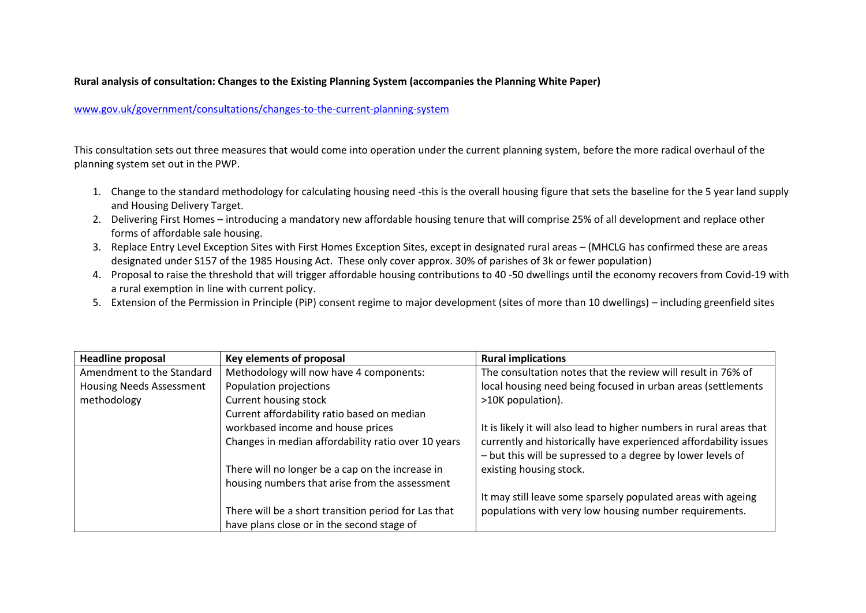## **Rural analysis of consultation: Changes to the Existing Planning System (accompanies the Planning White Paper)**

## [www.gov.uk/government/consultations/changes-to-the-current-planning-system](x-webdoc://9DA5B477-9425-4C01-AE7F-5FE074C259F8/www.gov.uk/government/consultations/changes-to-the-current-planning-system)

This consultation sets out three measures that would come into operation under the current planning system, before the more radical overhaul of the planning system set out in the PWP.

- 1. Change to the standard methodology for calculating housing need -this is the overall housing figure that sets the baseline for the 5 year land supply and Housing Delivery Target.
- 2. Delivering First Homes introducing a mandatory new affordable housing tenure that will comprise 25% of all development and replace other forms of affordable sale housing.
- 3. Replace Entry Level Exception Sites with First Homes Exception Sites, except in designated rural areas (MHCLG has confirmed these are areas designated under S157 of the 1985 Housing Act. These only cover approx. 30% of parishes of 3k or fewer population)
- 4. Proposal to raise the threshold that will trigger affordable housing contributions to 40 -50 dwellings until the economy recovers from Covid-19 with a rural exemption in line with current policy.
- 5. Extension of the Permission in Principle (PiP) consent regime to major development (sites of more than 10 dwellings) including greenfield sites

| <b>Headline proposal</b>        | Key elements of proposal                             | <b>Rural implications</b>                                                                                                       |
|---------------------------------|------------------------------------------------------|---------------------------------------------------------------------------------------------------------------------------------|
| Amendment to the Standard       | Methodology will now have 4 components:              | The consultation notes that the review will result in 76% of                                                                    |
| <b>Housing Needs Assessment</b> | Population projections                               | local housing need being focused in urban areas (settlements                                                                    |
| methodology                     | Current housing stock                                | >10K population).                                                                                                               |
|                                 | Current affordability ratio based on median          |                                                                                                                                 |
|                                 | workbased income and house prices                    | It is likely it will also lead to higher numbers in rural areas that                                                            |
|                                 | Changes in median affordability ratio over 10 years  | currently and historically have experienced affordability issues<br>- but this will be supressed to a degree by lower levels of |
|                                 | There will no longer be a cap on the increase in     | existing housing stock.                                                                                                         |
|                                 | housing numbers that arise from the assessment       |                                                                                                                                 |
|                                 |                                                      | It may still leave some sparsely populated areas with ageing                                                                    |
|                                 | There will be a short transition period for Las that | populations with very low housing number requirements.                                                                          |
|                                 | have plans close or in the second stage of           |                                                                                                                                 |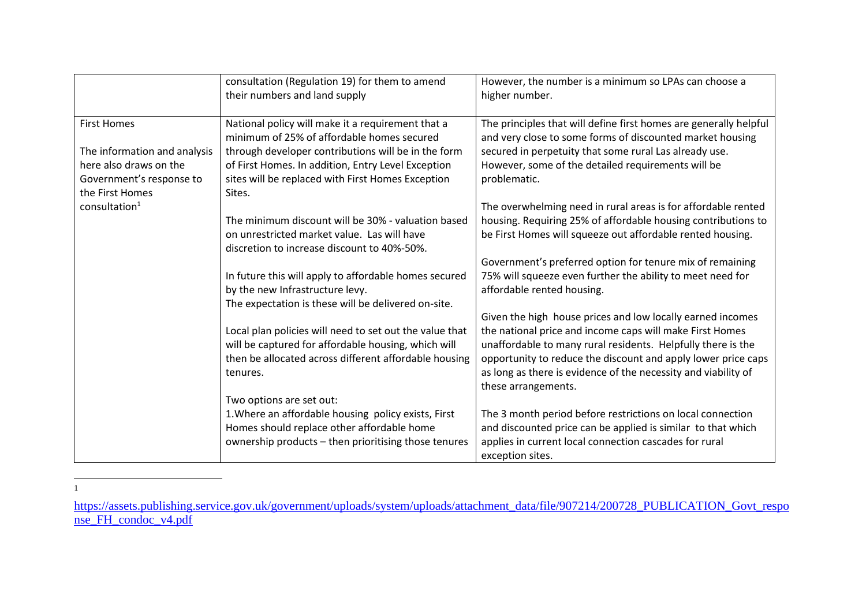|                              | consultation (Regulation 19) for them to amend<br>their numbers and land supply                 | However, the number is a minimum so LPAs can choose a<br>higher number.                                                        |
|------------------------------|-------------------------------------------------------------------------------------------------|--------------------------------------------------------------------------------------------------------------------------------|
| <b>First Homes</b>           | National policy will make it a requirement that a<br>minimum of 25% of affordable homes secured | The principles that will define first homes are generally helpful<br>and very close to some forms of discounted market housing |
| The information and analysis | through developer contributions will be in the form                                             | secured in perpetuity that some rural Las already use.                                                                         |
| here also draws on the       | of First Homes. In addition, Entry Level Exception                                              | However, some of the detailed requirements will be                                                                             |
| Government's response to     | sites will be replaced with First Homes Exception                                               | problematic.                                                                                                                   |
| the First Homes              | Sites.                                                                                          |                                                                                                                                |
| $cons$ ultation $1$          |                                                                                                 | The overwhelming need in rural areas is for affordable rented                                                                  |
|                              | The minimum discount will be 30% - valuation based                                              | housing. Requiring 25% of affordable housing contributions to                                                                  |
|                              | on unrestricted market value. Las will have                                                     | be First Homes will squeeze out affordable rented housing.                                                                     |
|                              | discretion to increase discount to 40%-50%.                                                     |                                                                                                                                |
|                              |                                                                                                 | Government's preferred option for tenure mix of remaining                                                                      |
|                              | In future this will apply to affordable homes secured                                           | 75% will squeeze even further the ability to meet need for                                                                     |
|                              | by the new Infrastructure levy.                                                                 | affordable rented housing.                                                                                                     |
|                              | The expectation is these will be delivered on-site.                                             |                                                                                                                                |
|                              |                                                                                                 | Given the high house prices and low locally earned incomes                                                                     |
|                              | Local plan policies will need to set out the value that                                         | the national price and income caps will make First Homes                                                                       |
|                              | will be captured for affordable housing, which will                                             | unaffordable to many rural residents. Helpfully there is the                                                                   |
|                              | then be allocated across different affordable housing                                           | opportunity to reduce the discount and apply lower price caps                                                                  |
|                              | tenures.                                                                                        | as long as there is evidence of the necessity and viability of                                                                 |
|                              |                                                                                                 | these arrangements.                                                                                                            |
|                              | Two options are set out:                                                                        |                                                                                                                                |
|                              | 1. Where an affordable housing policy exists, First                                             | The 3 month period before restrictions on local connection                                                                     |
|                              | Homes should replace other affordable home                                                      | and discounted price can be applied is similar to that which                                                                   |
|                              | ownership products - then prioritising those tenures                                            | applies in current local connection cascades for rural                                                                         |
|                              |                                                                                                 | exception sites.                                                                                                               |

<sup>1</sup>

[https://assets.publishing.service.gov.uk/government/uploads/system/uploads/attachment\\_data/file/907214/200728\\_PUBLICATION\\_Govt\\_respo](https://assets.publishing.service.gov.uk/government/uploads/system/uploads/attachment_data/file/907214/200728_PUBLICATION_Govt_response_FH_condoc_v4.pdf) [nse\\_FH\\_condoc\\_v4.pdf](https://assets.publishing.service.gov.uk/government/uploads/system/uploads/attachment_data/file/907214/200728_PUBLICATION_Govt_response_FH_condoc_v4.pdf)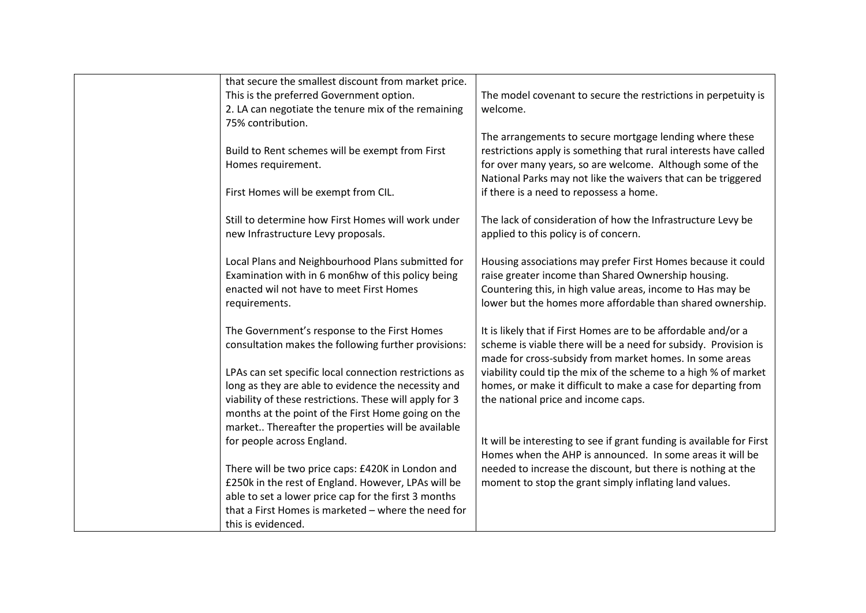| that secure the smallest discount from market price.                                                                                                                |                                                                                                                                                                                                                                                           |
|---------------------------------------------------------------------------------------------------------------------------------------------------------------------|-----------------------------------------------------------------------------------------------------------------------------------------------------------------------------------------------------------------------------------------------------------|
| This is the preferred Government option.                                                                                                                            | The model covenant to secure the restrictions in perpetuity is                                                                                                                                                                                            |
| 2. LA can negotiate the tenure mix of the remaining                                                                                                                 | welcome.                                                                                                                                                                                                                                                  |
| 75% contribution.                                                                                                                                                   |                                                                                                                                                                                                                                                           |
| Build to Rent schemes will be exempt from First<br>Homes requirement.                                                                                               | The arrangements to secure mortgage lending where these<br>restrictions apply is something that rural interests have called<br>for over many years, so are welcome. Although some of the<br>National Parks may not like the waivers that can be triggered |
| First Homes will be exempt from CIL.                                                                                                                                | if there is a need to repossess a home.                                                                                                                                                                                                                   |
|                                                                                                                                                                     |                                                                                                                                                                                                                                                           |
| Still to determine how First Homes will work under<br>new Infrastructure Levy proposals.                                                                            | The lack of consideration of how the Infrastructure Levy be<br>applied to this policy is of concern.                                                                                                                                                      |
| Local Plans and Neighbourhood Plans submitted for<br>Examination with in 6 mon6hw of this policy being<br>enacted wil not have to meet First Homes<br>requirements. | Housing associations may prefer First Homes because it could<br>raise greater income than Shared Ownership housing.<br>Countering this, in high value areas, income to Has may be<br>lower but the homes more affordable than shared ownership.           |
| The Government's response to the First Homes<br>consultation makes the following further provisions:                                                                | It is likely that if First Homes are to be affordable and/or a<br>scheme is viable there will be a need for subsidy. Provision is<br>made for cross-subsidy from market homes. In some areas                                                              |
| LPAs can set specific local connection restrictions as                                                                                                              | viability could tip the mix of the scheme to a high % of market                                                                                                                                                                                           |
| long as they are able to evidence the necessity and                                                                                                                 | homes, or make it difficult to make a case for departing from                                                                                                                                                                                             |
| viability of these restrictions. These will apply for 3                                                                                                             | the national price and income caps.                                                                                                                                                                                                                       |
| months at the point of the First Home going on the                                                                                                                  |                                                                                                                                                                                                                                                           |
| market Thereafter the properties will be available                                                                                                                  |                                                                                                                                                                                                                                                           |
| for people across England.                                                                                                                                          | It will be interesting to see if grant funding is available for First<br>Homes when the AHP is announced. In some areas it will be                                                                                                                        |
| There will be two price caps: £420K in London and                                                                                                                   | needed to increase the discount, but there is nothing at the                                                                                                                                                                                              |
| £250k in the rest of England. However, LPAs will be                                                                                                                 | moment to stop the grant simply inflating land values.                                                                                                                                                                                                    |
| able to set a lower price cap for the first 3 months                                                                                                                |                                                                                                                                                                                                                                                           |
| that a First Homes is marketed - where the need for                                                                                                                 |                                                                                                                                                                                                                                                           |
| this is evidenced.                                                                                                                                                  |                                                                                                                                                                                                                                                           |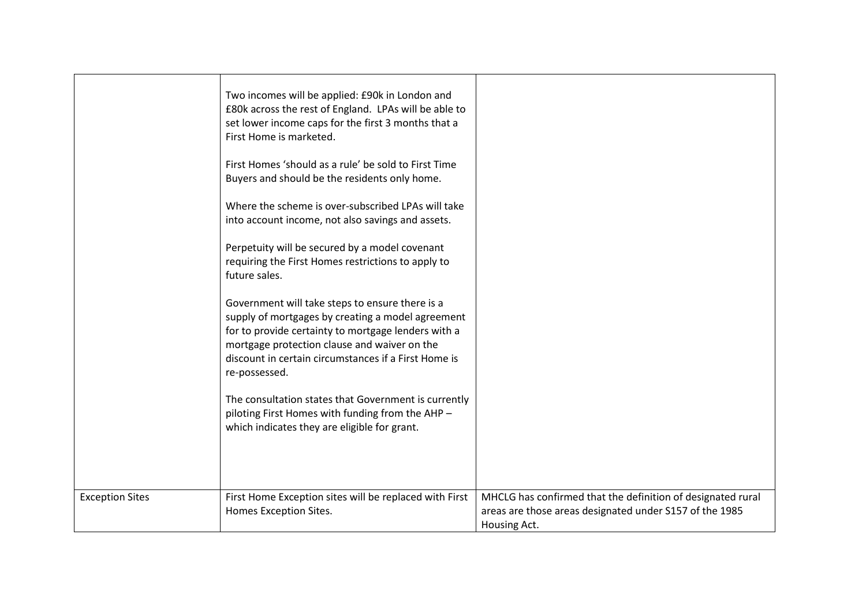|                        | Two incomes will be applied: £90k in London and<br>£80k across the rest of England. LPAs will be able to<br>set lower income caps for the first 3 months that a<br>First Home is marketed.<br>First Homes 'should as a rule' be sold to First Time<br>Buyers and should be the residents only home.<br>Where the scheme is over-subscribed LPAs will take<br>into account income, not also savings and assets.<br>Perpetuity will be secured by a model covenant<br>requiring the First Homes restrictions to apply to<br>future sales.<br>Government will take steps to ensure there is a<br>supply of mortgages by creating a model agreement<br>for to provide certainty to mortgage lenders with a<br>mortgage protection clause and waiver on the<br>discount in certain circumstances if a First Home is<br>re-possessed.<br>The consultation states that Government is currently<br>piloting First Homes with funding from the AHP -<br>which indicates they are eligible for grant. |                                                                                                                                        |
|------------------------|---------------------------------------------------------------------------------------------------------------------------------------------------------------------------------------------------------------------------------------------------------------------------------------------------------------------------------------------------------------------------------------------------------------------------------------------------------------------------------------------------------------------------------------------------------------------------------------------------------------------------------------------------------------------------------------------------------------------------------------------------------------------------------------------------------------------------------------------------------------------------------------------------------------------------------------------------------------------------------------------|----------------------------------------------------------------------------------------------------------------------------------------|
| <b>Exception Sites</b> | First Home Exception sites will be replaced with First<br>Homes Exception Sites.                                                                                                                                                                                                                                                                                                                                                                                                                                                                                                                                                                                                                                                                                                                                                                                                                                                                                                            | MHCLG has confirmed that the definition of designated rural<br>areas are those areas designated under S157 of the 1985<br>Housing Act. |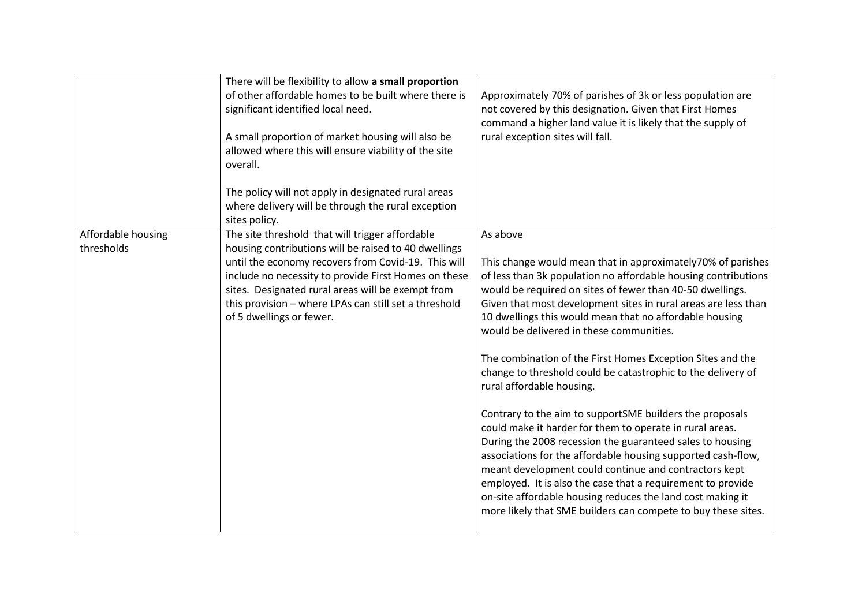|                                  | There will be flexibility to allow a small proportion<br>of other affordable homes to be built where there is<br>significant identified local need.<br>A small proportion of market housing will also be<br>allowed where this will ensure viability of the site<br>overall.                                                                                     | Approximately 70% of parishes of 3k or less population are<br>not covered by this designation. Given that First Homes<br>command a higher land value it is likely that the supply of<br>rural exception sites will fall.                                                                                                                                                                                                                                                                                                                                                                                                                                                                                                                                                                                                                                                                                                                                                                                                                               |
|----------------------------------|------------------------------------------------------------------------------------------------------------------------------------------------------------------------------------------------------------------------------------------------------------------------------------------------------------------------------------------------------------------|--------------------------------------------------------------------------------------------------------------------------------------------------------------------------------------------------------------------------------------------------------------------------------------------------------------------------------------------------------------------------------------------------------------------------------------------------------------------------------------------------------------------------------------------------------------------------------------------------------------------------------------------------------------------------------------------------------------------------------------------------------------------------------------------------------------------------------------------------------------------------------------------------------------------------------------------------------------------------------------------------------------------------------------------------------|
|                                  | The policy will not apply in designated rural areas<br>where delivery will be through the rural exception<br>sites policy.                                                                                                                                                                                                                                       |                                                                                                                                                                                                                                                                                                                                                                                                                                                                                                                                                                                                                                                                                                                                                                                                                                                                                                                                                                                                                                                        |
| Affordable housing<br>thresholds | The site threshold that will trigger affordable<br>housing contributions will be raised to 40 dwellings<br>until the economy recovers from Covid-19. This will<br>include no necessity to provide First Homes on these<br>sites. Designated rural areas will be exempt from<br>this provision - where LPAs can still set a threshold<br>of 5 dwellings or fewer. | As above<br>This change would mean that in approximately70% of parishes<br>of less than 3k population no affordable housing contributions<br>would be required on sites of fewer than 40-50 dwellings.<br>Given that most development sites in rural areas are less than<br>10 dwellings this would mean that no affordable housing<br>would be delivered in these communities.<br>The combination of the First Homes Exception Sites and the<br>change to threshold could be catastrophic to the delivery of<br>rural affordable housing.<br>Contrary to the aim to supportSME builders the proposals<br>could make it harder for them to operate in rural areas.<br>During the 2008 recession the guaranteed sales to housing<br>associations for the affordable housing supported cash-flow,<br>meant development could continue and contractors kept<br>employed. It is also the case that a requirement to provide<br>on-site affordable housing reduces the land cost making it<br>more likely that SME builders can compete to buy these sites. |